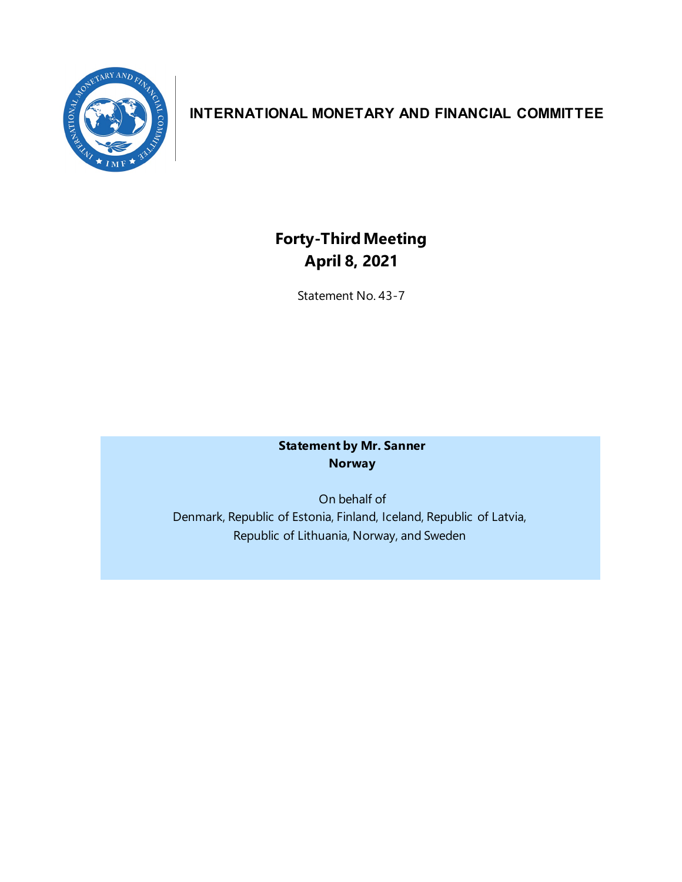

## **INTERNATIONAL MONETARY AND FINANCIAL COMMITTEE**

# **Forty-ThirdMeeting April 8, 2021**

Statement No. 43-7

**Statement by Mr. Sanner Norway**

On behalf of Denmark, Republic of Estonia, Finland, Iceland, Republic of Latvia, Republic of Lithuania, Norway, and Sweden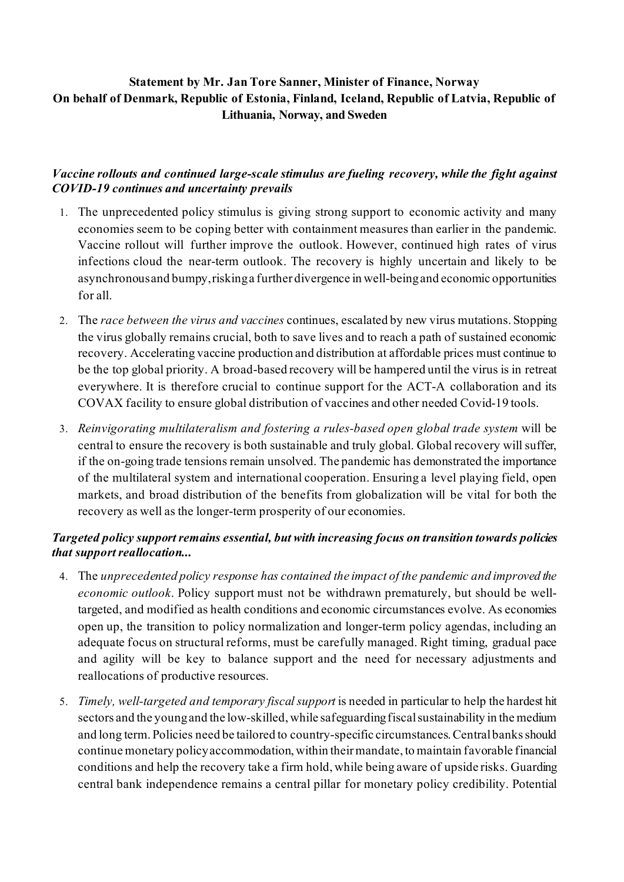### **Statement by Mr. Jan Tore Sanner, Minister of Finance, Norway On behalf of Denmark, Republic of Estonia, Finland, Iceland, Republic of Latvia, Republic of Lithuania, Norway, and Sweden**

#### *Vaccine rollouts and continued large-scale stimulus are fueling recovery, while the fight against COVID-19 continues and uncertainty prevails*

- 1. The unprecedented policy stimulus is giving strong support to economic activity and many economies seem to be coping better with containment measures than earlier in the pandemic. Vaccine rollout will further improve the outlook. However, continued high rates of virus infections cloud the near-term outlook. The recovery is highly uncertain and likely to be asynchronous and bumpy, risking a further divergence in well-being and economic opportunities for all.
- 2. The *race between the virus and vaccines* continues, escalated by new virus mutations. Stopping the virus globally remains crucial, both to save lives and to reach a path of sustained economic recovery. Accelerating vaccine production and distribution at affordable prices must continue to be the top global priority. A broad-based recovery will be hampered until the virus is in retreat everywhere. It is therefore crucial to continue support for the ACT-A collaboration and its COVAX facility to ensure global distribution of vaccines and other needed Covid-19 tools.
- 3. *Reinvigorating multilateralism and fostering a rules-based open global trade system* will be central to ensure the recovery is both sustainable and truly global. Global recovery will suffer, if the on-going trade tensions remain unsolved. The pandemic has demonstrated the importance of the multilateral system and international cooperation. Ensuring a level playing field, open markets, and broad distribution of the benefits from globalization will be vital for both the recovery as well as the longer-term prosperity of our economies.

#### *Targeted policy support remains essential, but with increasing focus on transition towards policies that support reallocation...*

- 4. The *unprecedented policy response has contained the impact of the pandemic and improved the economic outlook*. Policy support must not be withdrawn prematurely, but should be welltargeted, and modified as health conditions and economic circumstances evolve. As economies open up, the transition to policy normalization and longer-term policy agendas, including an adequate focus on structural reforms, must be carefully managed. Right timing, gradual pace and agility will be key to balance support and the need for necessary adjustments and reallocations of productive resources.
- 5. *Timely, well-targeted and temporary fiscal support* is needed in particular to help the hardest hit sectors and the young and the low-skilled, while safeguarding fiscal sustainability in the medium and long term. Policies need be tailored to country-specific circumstances. Central banks should continue monetary policy accommodation, within their mandate, to maintain favorable financial conditions and help the recovery take a firm hold, while being aware of upside risks. Guarding central bank independence remains a central pillar for monetary policy credibility. Potential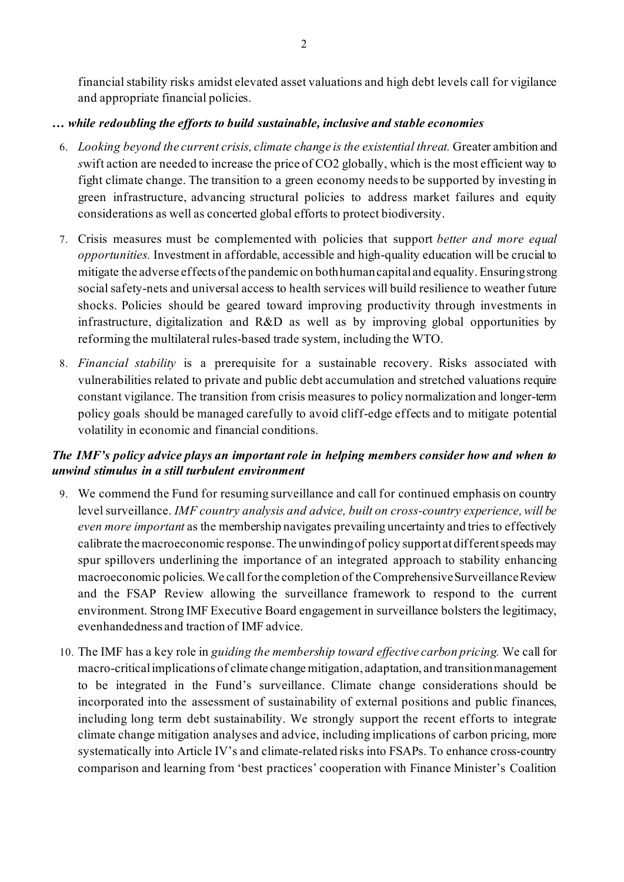financial stability risks amidst elevated asset valuations and high debt levels call for vigilance and appropriate financial policies.

#### *… while redoubling the efforts to build sustainable, inclusive and stable economies*

- 6. *Looking beyond the current crisis, climate change is the existential threat.* Greater ambition and *s*wift action are needed to increase the price of CO2 globally, which is the most efficient way to fight climate change. The transition to a green economy needs to be supported by investing in green infrastructure, advancing structural policies to address market failures and equity considerations as well as concerted global efforts to protect biodiversity.
- 7. Crisis measures must be complemented with policies that support *better and more equal opportunities.* Investment in affordable, accessible and high-quality education will be crucial to mitigate the adverse effects of the pandemic on both human capital and equality. Ensuring strong social safety-nets and universal access to health services will build resilience to weather future shocks. Policies should be geared toward improving productivity through investments in infrastructure, digitalization and R&D as well as by improving global opportunities by reforming the multilateral rules-based trade system, including the WTO.
- 8. *Financial stability* is a prerequisite for a sustainable recovery. Risks associated with vulnerabilities related to private and public debt accumulation and stretched valuations require constant vigilance. The transition from crisis measures to policy normalization and longer-term policy goals should be managed carefully to avoid cliff-edge effects and to mitigate potential volatility in economic and financial conditions.

#### *The IMF's policy advice plays an important role in helping members consider how and when to unwind stimulus in a still turbulent environment*

- 9. We commend the Fund for resuming surveillance and call for continued emphasis on country level surveillance. *IMF country analysis and advice, built on cross-country experience, will be even more important* as the membership navigates prevailing uncertainty and tries to effectively calibrate the macroeconomic response. The unwinding of policy support at different speeds may spur spillovers underlining the importance of an integrated approach to stability enhancing macroeconomic policies. We call for the completion of the Comprehensive Surveillance Review and the FSAP Review allowing the surveillance framework to respond to the current environment. Strong IMF Executive Board engagement in surveillance bolsters the legitimacy, evenhandedness and traction of IMF advice.
- 10. The IMF has a key role in *guiding the membership toward effective carbon pricing.* We call for macro-critical implications of climate change mitigation, adaptation, and transition management to be integrated in the Fund's surveillance. Climate change considerations should be incorporated into the assessment of sustainability of external positions and public finances, including long term debt sustainability. We strongly support the recent efforts to integrate climate change mitigation analyses and advice, including implications of carbon pricing, more systematically into Article IV's and climate-related risks into FSAPs. To enhance cross-country comparison and learning from 'best practices' cooperation with Finance Minister's Coalition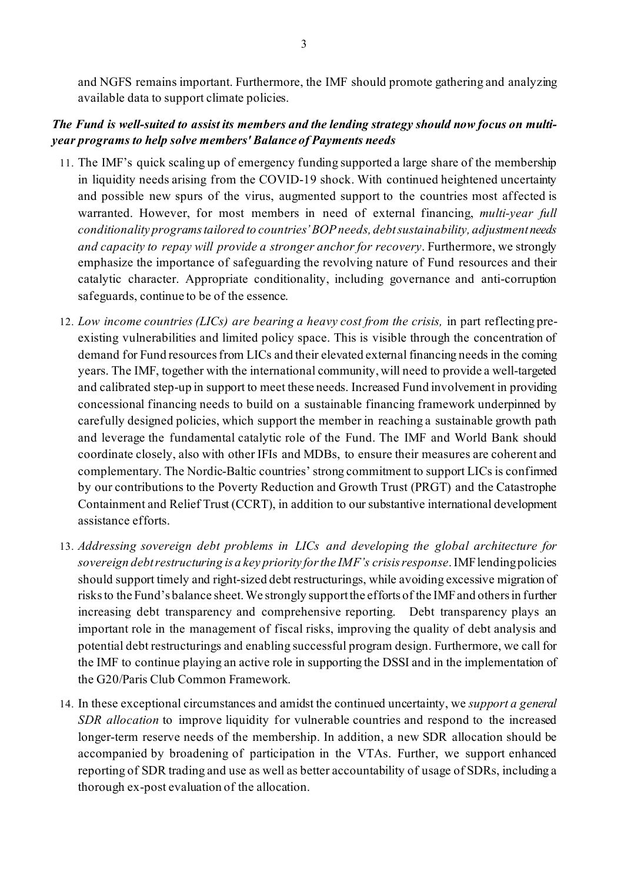and NGFS remains important. Furthermore, the IMF should promote gathering and analyzing available data to support climate policies.

#### *The Fund is well-suited to assist its members and the lending strategy should now focus on multiyear programs to help solve members' Balance of Payments needs*

- 11. The IMF's quick scaling up of emergency funding supported a large share of the membership in liquidity needs arising from the COVID-19 shock. With continued heightened uncertainty and possible new spurs of the virus, augmented support to the countries most affected is warranted. However, for most members in need of external financing, *multi-year full conditionality programs tailored to countries' BOP needs, debt sustainability, adjustment needs and capacity to repay will provide a stronger anchor for recovery*. Furthermore, we strongly emphasize the importance of safeguarding the revolving nature of Fund resources and their catalytic character. Appropriate conditionality, including governance and anti-corruption safeguards, continue to be of the essence.
- 12. *Low income countries (LICs) are bearing a heavy cost from the crisis,* in part reflecting preexisting vulnerabilities and limited policy space. This is visible through the concentration of demand for Fund resources from LICs and their elevated external financing needs in the coming years. The IMF, together with the international community, will need to provide a well-targeted and calibrated step-up in support to meet these needs. Increased Fund involvement in providing concessional financing needs to build on a sustainable financing framework underpinned by carefully designed policies, which support the member in reaching a sustainable growth path and leverage the fundamental catalytic role of the Fund. The IMF and World Bank should coordinate closely, also with other IFIs and MDBs, to ensure their measures are coherent and complementary. The Nordic-Baltic countries' strong commitment to support LICs is confirmed by our contributions to the Poverty Reduction and Growth Trust (PRGT) and the Catastrophe Containment and Relief Trust (CCRT), in addition to our substantive international development assistance efforts.
- 13. *Addressing sovereign debt problems in LICs and developing the global architecture for sovereign debt restructuring is a key priority for the IMF's crisis response*. IMF lending policies should support timely and right-sized debt restructurings, while avoiding excessive migration of risks to the Fund's balance sheet. We strongly support the efforts of the IMF and others in further increasing debt transparency and comprehensive reporting. Debt transparency plays an important role in the management of fiscal risks, improving the quality of debt analysis and potential debt restructurings and enabling successful program design. Furthermore, we call for the IMF to continue playing an active role in supporting the DSSI and in the implementation of the G20/Paris Club Common Framework.
- 14. In these exceptional circumstances and amidst the continued uncertainty, we *support a general SDR allocation* to improve liquidity for vulnerable countries and respond to the increased longer-term reserve needs of the membership. In addition, a new SDR allocation should be accompanied by broadening of participation in the VTAs. Further, we support enhanced reporting of SDR trading and use as well as better accountability of usage of SDRs, including a thorough ex-post evaluation of the allocation.